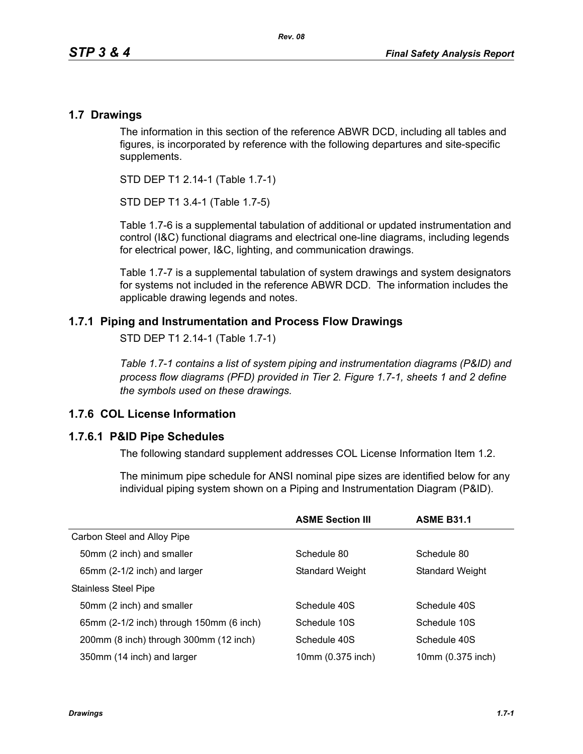### **1.7 Drawings**

The information in this section of the reference ABWR DCD, including all tables and figures, is incorporated by reference with the following departures and site-specific supplements.

STD DEP T1 2.14-1 (Table 1.7-1)

STD DEP T1 3.4-1 (Table 1.7-5)

Table [1.7-6](#page-3-0) is a supplemental tabulation of additional or updated instrumentation and control (I&C) functional diagrams and electrical one-line diagrams, including legends for electrical power, I&C, lighting, and communication drawings.

Table 1.7-7 is a supplemental tabulation of system drawings and system designators for systems not included in the reference ABWR DCD. The information includes the applicable drawing legends and notes.

## **1.7.1 Piping and Instrumentation and Process Flow Drawings**

STD DEP T1 2.14-1 (Table 1.7-1)

*Table 1.7-1 contains a list of system piping and instrumentation diagrams (P&ID) and process flow diagrams (PFD) provided in Tier 2. Figure 1.7-1, sheets 1 and 2 define the symbols used on these drawings.*

## **1.7.6 COL License Information**

#### **1.7.6.1 P&ID Pipe Schedules**

The following standard supplement addresses COL License Information Item 1.2.

The minimum pipe schedule for ANSI nominal pipe sizes are identified below for any individual piping system shown on a Piping and Instrumentation Diagram (P&ID).

|                                          | <b>ASME Section III</b> | <b>ASME B31.1</b> |
|------------------------------------------|-------------------------|-------------------|
| Carbon Steel and Alloy Pipe              |                         |                   |
| 50mm (2 inch) and smaller                | Schedule 80             | Schedule 80       |
| 65mm (2-1/2 inch) and larger             | <b>Standard Weight</b>  | Standard Weight   |
| <b>Stainless Steel Pipe</b>              |                         |                   |
| 50mm (2 inch) and smaller                | Schedule 40S            | Schedule 40S      |
| 65mm (2-1/2 inch) through 150mm (6 inch) | Schedule 10S            | Schedule 10S      |
| 200mm (8 inch) through 300mm (12 inch)   | Schedule 40S            | Schedule 40S      |
| 350mm (14 inch) and larger               | 10mm (0.375 inch)       | 10mm (0.375 inch) |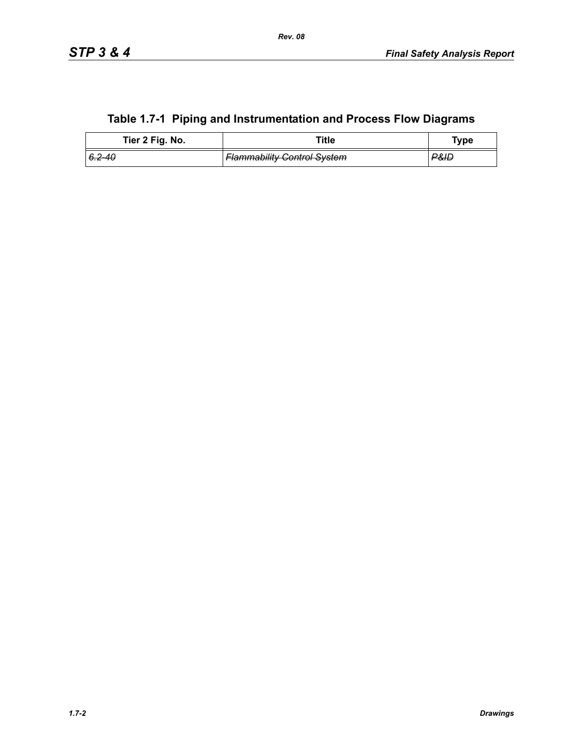|  |  | Table 1.7-1 Piping and Instrumentation and Process Flow Diagrams |  |  |
|--|--|------------------------------------------------------------------|--|--|
|--|--|------------------------------------------------------------------|--|--|

| Tier 2 Fig. No. | ™itle                              | Type |
|-----------------|------------------------------------|------|
| 6.2–40          | <b>Flammability Control System</b> | ₽&ID |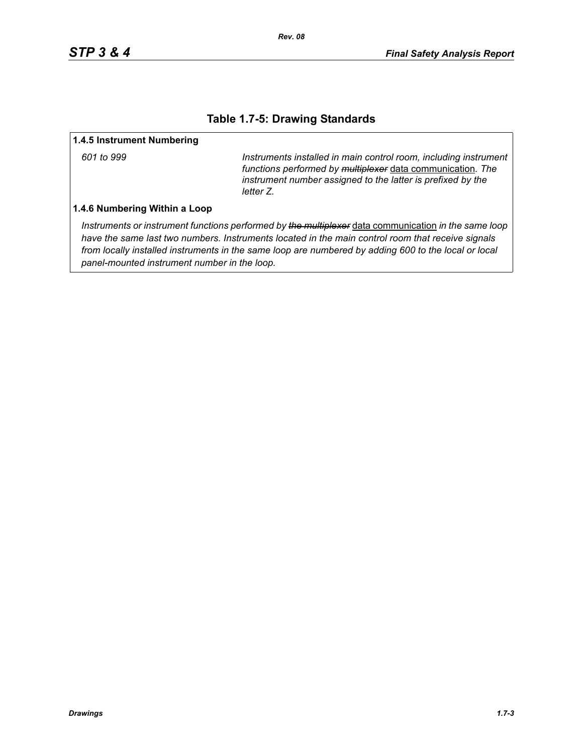### **Table 1.7-5: Drawing Standards**

#### **1.4.5 Instrument Numbering**

*601 to 999 Instruments installed in main control room, including instrument functions performed by multiplexer* data communication*. The instrument number assigned to the latter is prefixed by the letter Z.*

#### **1.4.6 Numbering Within a Loop**

*Instruments or instrument functions performed by the multiplexer* data communication *in the same loop have the same last two numbers. Instruments located in the main control room that receive signals from locally installed instruments in the same loop are numbered by adding 600 to the local or local panel-mounted instrument number in the loop.*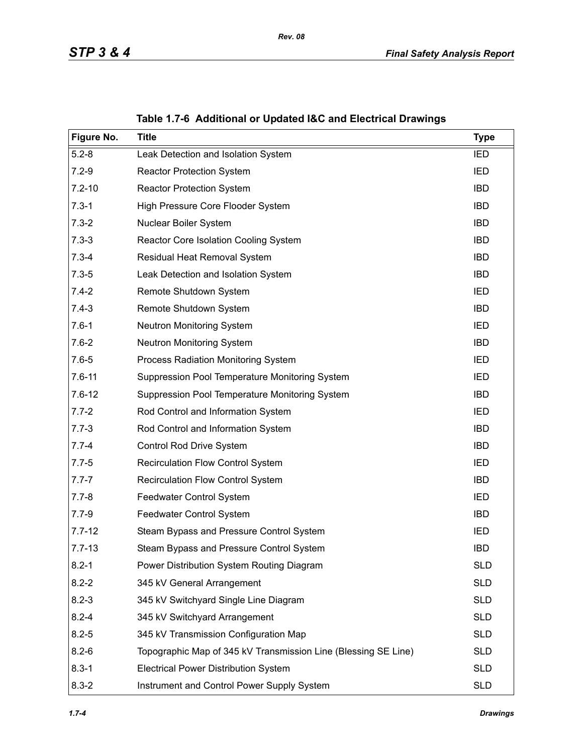<span id="page-3-0"></span>

| Figure No. | <b>Title</b>                                                   | <b>Type</b> |
|------------|----------------------------------------------------------------|-------------|
| $5.2 - 8$  | Leak Detection and Isolation System                            | IED         |
| $7.2 - 9$  | <b>Reactor Protection System</b>                               | <b>IED</b>  |
| $7.2 - 10$ | <b>Reactor Protection System</b>                               | <b>IBD</b>  |
| $7.3 - 1$  | High Pressure Core Flooder System                              | <b>IBD</b>  |
| $7.3 - 2$  | Nuclear Boiler System                                          | <b>IBD</b>  |
| $7.3 - 3$  | Reactor Core Isolation Cooling System                          | <b>IBD</b>  |
| $7.3 - 4$  | Residual Heat Removal System                                   | <b>IBD</b>  |
| $7.3 - 5$  | Leak Detection and Isolation System                            | <b>IBD</b>  |
| $7.4 - 2$  | Remote Shutdown System                                         | IED         |
| $7.4 - 3$  | Remote Shutdown System                                         | <b>IBD</b>  |
| $7.6 - 1$  | Neutron Monitoring System                                      | IED         |
| $7.6 - 2$  | <b>Neutron Monitoring System</b>                               | <b>IBD</b>  |
| $7.6 - 5$  | Process Radiation Monitoring System                            | IED         |
| $7.6 - 11$ | Suppression Pool Temperature Monitoring System                 | IED         |
| $7.6 - 12$ | Suppression Pool Temperature Monitoring System                 | <b>IBD</b>  |
| $7.7 - 2$  | Rod Control and Information System                             | <b>IED</b>  |
| $7.7 - 3$  | Rod Control and Information System                             | <b>IBD</b>  |
| $7.7 - 4$  | Control Rod Drive System                                       | <b>IBD</b>  |
| $7.7 - 5$  | <b>Recirculation Flow Control System</b>                       | IED         |
| $7.7 - 7$  | Recirculation Flow Control System                              | <b>IBD</b>  |
| $7.7 - 8$  | Feedwater Control System                                       | IED         |
| $7.7 - 9$  | Feedwater Control System                                       | <b>IBD</b>  |
| $7.7 - 12$ | Steam Bypass and Pressure Control System                       | IED         |
| $7.7 - 13$ | Steam Bypass and Pressure Control System                       | <b>IBD</b>  |
| $8.2 - 1$  | Power Distribution System Routing Diagram                      | <b>SLD</b>  |
| $8.2 - 2$  | 345 kV General Arrangement                                     | <b>SLD</b>  |
| $8.2 - 3$  | 345 kV Switchyard Single Line Diagram                          | <b>SLD</b>  |
| $8.2 - 4$  | 345 kV Switchyard Arrangement                                  | <b>SLD</b>  |
| $8.2 - 5$  | 345 kV Transmission Configuration Map                          | <b>SLD</b>  |
| $8.2 - 6$  | Topographic Map of 345 kV Transmission Line (Blessing SE Line) | <b>SLD</b>  |
| $8.3 - 1$  | <b>Electrical Power Distribution System</b>                    | <b>SLD</b>  |
| $8.3 - 2$  | Instrument and Control Power Supply System                     | <b>SLD</b>  |

**Table 1.7-6 Additional or Updated I&C and Electrical Drawings**